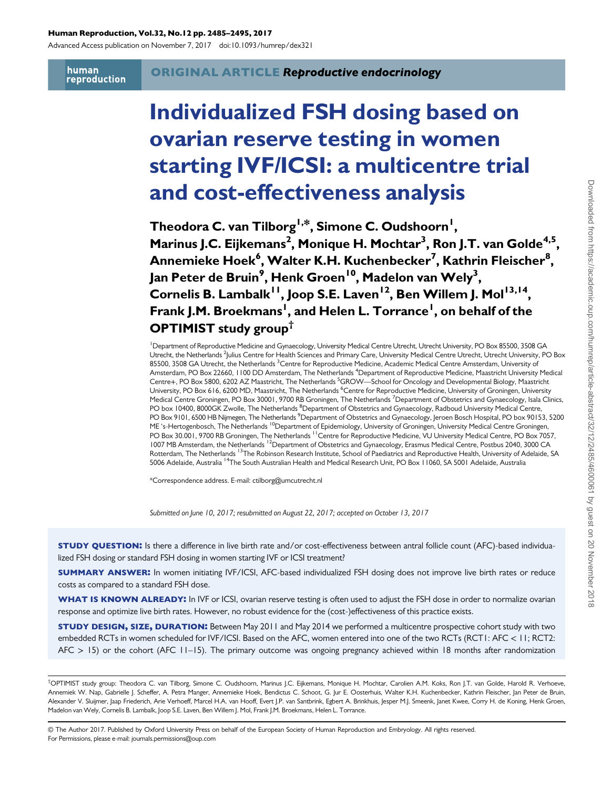#### Human Reproduction, Vol.32, No.12 pp. 2485–2495, 2017

Advanced Access publication on November 7, 2017 doi:10.1093/humrep/dex321

human reproduction

# Individualized FSH dosing based on ovarian reserve testing in women starting IVF/ICSI: a multicentre trial and cost-effectiveness analysis

Theodora C. van Tilborg<sup>I,\*</sup>, Simone C. Oudshoorn<sup>I</sup>, Marinus J.C. Eijkemans<sup>2</sup>, Monique H. Mochtar<sup>3</sup>, Ron J.T. van Golde<sup>4,5</sup>, Annemieke Hoek<sup>6</sup>, Walter K.H. Kuchenbecker<sup>7</sup>, Kathrin Fleischer<sup>8</sup>, Jan Peter de Bruin<sup>9</sup>, Henk Groen<sup>10</sup>, Madelon van Wely<sup>3</sup>, Cornelis B. Lambalk<sup>11</sup>, Joop S.E. Laven<sup>12</sup>, Ben Willem J. Mol<sup>13,14</sup>, Frank J.M. Broekmans<sup>I</sup>, and Helen L. Torrance<sup>I</sup>, on behalf of the OPTIMIST study group†

<sup>1</sup> Department of Reproductive Medicine and Gynaecology, University Medical Centre Utrecht, Utrecht University, PO Box 85500, 3508 GA Utrecht, the Netherlands <sup>2</sup> Julius Centre for Health Sciences and Primary Care, University Medical Centre Utrecht, Utrecht University, PO Box 85500, 3508 GA Utrecht, the Netherlands <sup>3</sup>Centre for Reproductive Medicine, Academic Medical Centre Amsterdam, University of Amsterdam, PO Box 22660, I 100 DD Amsterdam, The Netherlands <sup>4</sup>Department of Reproductive Medicine, Maastricht University Medical Centre+, PO Box 5800, 6202 AZ Maastricht, The Netherlands <sup>5</sup>GROW—School for Oncology and Developmental Biology, Maastricht University, PO Box 616, 6200 MD, Maastricht, The Netherlands <sup>6</sup>Centre for Reproductive Medicine, University of Groningen, University Medical Centre Groningen, PO Box 30001, 9700 RB Groningen, The Netherlands <sup>7</sup>Department of Obstetrics and Gynaecology, Isala Clinics, PO box 10400, 8000GK Zwolle, The Netherlands <sup>8</sup>Department of Obstetrics and Gynaecology, Radboud University Medical Centre, PO Box 9101, 6500 HB Nijmegen, The Netherlands <sup>9</sup> Department of Obstetrics and Gynaecology, Jeroen Bosch Hospital, PO box 90153, 5200 ME 's-Hertogenbosch, The Netherlands 10Department of Epidemiology, University of Groningen, University Medical Centre Groningen, PO Box 30.001, 9700 RB Groningen, The Netherlands <sup>11</sup> Centre for Reproductive Medicine, VU University Medical Centre, PO Box 7057, 1007 MB Amsterdam, the Netherlands 12Department of Obstetrics and Gynaecology, Erasmus Medical Centre, Postbus 2040, 3000 CA Rotterdam, The Netherlands 13The Robinson Research Institute, School of Paediatrics and Reproductive Health, University of Adelaide, SA 5006 Adelaide, Australia 14The South Australian Health and Medical Research Unit, PO Box 11060, SA 5001 Adelaide, Australia

\*Correspondence address. E-mail: ctilborg@umcutrecht.nl

Submitted on June 10, 2017; resubmitted on August 22, 2017; accepted on October 13, 2017

STUDY QUESTION: Is there a difference in live birth rate and/or cost-effectiveness between antral follicle count (AFC)-based individualized FSH dosing or standard FSH dosing in women starting IVF or ICSI treatment?

**SUMMARY ANSWER:** In women initiating IVF/ICSI, AFC-based individualized FSH dosing does not improve live birth rates or reduce costs as compared to a standard FSH dose.

WHAT IS KNOWN ALREADY: In IVF or ICSI, ovarian reserve testing is often used to adjust the FSH dose in order to normalize ovarian response and optimize live birth rates. However, no robust evidence for the (cost-)effectiveness of this practice exists.

STUDY DESIGN, SIZE, DURATION: Between May 2011 and May 2014 we performed a multicentre prospective cohort study with two embedded RCTs in women scheduled for IVF/ICSI. Based on the AFC, women entered into one of the two RCTs (RCT1: AFC < 11; RCT2:  $AFC > 15$ ) or the cohort (AFC 11–15). The primary outcome was ongoing pregnancy achieved within 18 months after randomization

<sup>†</sup> OPTIMIST study group: Theodora C. van Tilborg, Simone C. Oudshoorn, Marinus J.C. Eijkemans, Monique H. Mochtar, Carolien A.M. Koks, Ron J.T. van Golde, Harold R. Verhoeve, Annemiek W. Nap, Gabrielle J. Scheffer, A. Petra Manger, Annemieke Hoek, Bendictus C. Schoot, G. Jur E. Oosterhuis, Walter K.H. Kuchenbecker, Kathrin Fleischer, Jan Peter de Bruin, Alexander V. Sluijmer, Jaap Friederich, Arie Verhoeff, Marcel H.A. van Hooff, Evert J.P. van Santbrink, Egbert A. Brinkhuis, Jesper M.J. Smeenk, Janet Kwee, Corry H. de Koning, Henk Groen, Madelon van Wely, Cornelis B. Lambalk, Joop S.E. Laven, Ben Willem J. Mol, Frank J.M. Broekmans, Helen L. Torrance.

<sup>©</sup> The Author 2017. Published by Oxford University Press on behalf of the European Society of Human Reproduction and Embryology. All rights reserved. For Permissions, please e-mail: journals.permissions@oup.com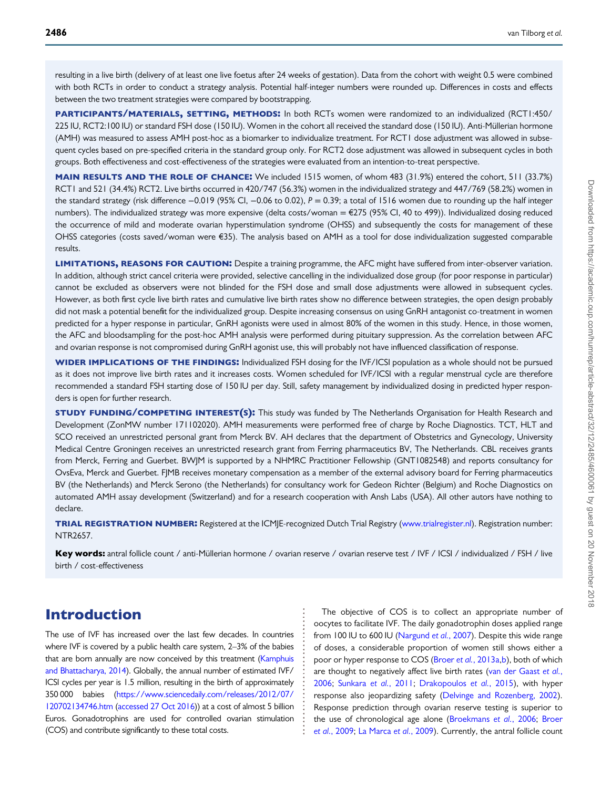resulting in a live birth (delivery of at least one live foetus after 24 weeks of gestation). Data from the cohort with weight 0.5 were combined with both RCTs in order to conduct a strategy analysis. Potential half-integer numbers were rounded up. Differences in costs and effects between the two treatment strategies were compared by bootstrapping.

PARTICIPANTS/MATERIALS, SETTING, METHODS: In both RCTs women were randomized to an individualized (RCT1:450/ 225 IU, RCT2:100 IU) or standard FSH dose (150 IU). Women in the cohort all received the standard dose (150 IU). Anti-Müllerian hormone (AMH) was measured to assess AMH post-hoc as a biomarker to individualize treatment. For RCT1 dose adjustment was allowed in subsequent cycles based on pre-specified criteria in the standard group only. For RCT2 dose adjustment was allowed in subsequent cycles in both groups. Both effectiveness and cost-effectiveness of the strategies were evaluated from an intention-to-treat perspective.

MAIN RESULTS AND THE ROLE OF CHANCE: We included 1515 women, of whom 483 (31.9%) entered the cohort, 511 (33.7%) RCT1 and 521 (34.4%) RCT2. Live births occurred in 420/747 (56.3%) women in the individualized strategy and 447/769 (58.2%) women in the standard strategy (risk difference −0.019 (95% CI, −0.06 to 0.02), P = 0.39; a total of 1516 women due to rounding up the half integer numbers). The individualized strategy was more expensive (delta costs/woman = €275 (95% CI, 40 to 499)). Individualized dosing reduced the occurrence of mild and moderate ovarian hyperstimulation syndrome (OHSS) and subsequently the costs for management of these OHSS categories (costs saved/woman were €35). The analysis based on AMH as a tool for dose individualization suggested comparable results.

LIMITATIONS, REASONS FOR CAUTION: Despite a training programme, the AFC might have suffered from inter-observer variation. In addition, although strict cancel criteria were provided, selective cancelling in the individualized dose group (for poor response in particular) cannot be excluded as observers were not blinded for the FSH dose and small dose adjustments were allowed in subsequent cycles. However, as both first cycle live birth rates and cumulative live birth rates show no difference between strategies, the open design probably did not mask a potential benefit for the individualized group. Despite increasing consensus on using GnRH antagonist co-treatment in women predicted for a hyper response in particular, GnRH agonists were used in almost 80% of the women in this study. Hence, in those women, the AFC and bloodsampling for the post-hoc AMH analysis were performed during pituitary suppression. As the correlation between AFC and ovarian response is not compromised during GnRH agonist use, this will probably not have influenced classification of response.

WIDER IMPLICATIONS OF THE FINDINGS: Individualized FSH dosing for the IVF/ICSI population as a whole should not be pursued as it does not improve live birth rates and it increases costs. Women scheduled for IVF/ICSI with a regular menstrual cycle are therefore recommended a standard FSH starting dose of 150 IU per day. Still, safety management by individualized dosing in predicted hyper responders is open for further research.

STUDY FUNDING/COMPETING INTEREST(S): This study was funded by The Netherlands Organisation for Health Research and Development (ZonMW number 171102020). AMH measurements were performed free of charge by Roche Diagnostics. TCT, HLT and SCO received an unrestricted personal grant from Merck BV. AH declares that the department of Obstetrics and Gynecology, University Medical Centre Groningen receives an unrestricted research grant from Ferring pharmaceutics BV, The Netherlands. CBL receives grants from Merck, Ferring and Guerbet. BWJM is supported by a NHMRC Practitioner Fellowship (GNT1082548) and reports consultancy for OvsEva, Merck and Guerbet. FJMB receives monetary compensation as a member of the external advisory board for Ferring pharmaceutics BV (the Netherlands) and Merck Serono (the Netherlands) for consultancy work for Gedeon Richter (Belgium) and Roche Diagnostics on automated AMH assay development (Switzerland) and for a research cooperation with Ansh Labs (USA). All other autors have nothing to declare.

TRIAL REGISTRATION NUMBER: Registered at the ICMJE-recognized Dutch Trial Registry ([www.trialregister.nl\)](http://www.trialregister.nl). Registration number: NTR2657.

Key words: antral follicle count / anti-Müllerian hormone / ovarian reserve / ovarian reserve test / IVF / ICSI / individualized / FSH / live birth / cost-effectiveness

## Introduction

The use of IVF has increased over the last few decades. In countries where IVF is covered by a public health care system, 2–3% of the babies that are born annually are now conceived by this treatment [\(Kamphuis](#page-9-0) [and Bhattacharya, 2014](#page-9-0)). Globally, the annual number of estimated IVF/ ICSI cycles per year is 1.5 million, resulting in the birth of approximately 350 000 babies [\(https://www.sciencedaily.com/releases/2012/07/](https://www.sciencedaily.com/releases/2012/07/120702134746.htm) [120702134746.htm](https://www.sciencedaily.com/releases/2012/07/120702134746.htm) [\(accessed 27 Oct 2016](#page-9-0))) at a cost of almost 5 billion Euros. Gonadotrophins are used for controlled ovarian stimulation (COS) and contribute significantly to these total costs.

The objective of COS is to collect an appropriate number of oocytes to facilitate IVF. The daily gonadotrophin doses applied range from 100 IU to 600 IU [\(Nargund](#page-9-0) et al., 2007). Despite this wide range of doses, a considerable proportion of women still shows either a poor or hyper response to COS (Broer et al.[, 2013a,b\)](#page-9-0), both of which are thought to negatively affect live birth rates ([van der Gaast](#page-10-0) et al., [2006;](#page-10-0) [Sunkara](#page-10-0) et al., 2011; [Drakopoulos](#page-9-0) et al., 2015), with hyper response also jeopardizing safety ([Delvinge and Rozenberg, 2002\)](#page-9-0). Response prediction through ovarian reserve testing is superior to the use of chronological age alone ([Broekmans](#page-9-0) et al., 2006; [Broer](#page-9-0) et al.[, 2009;](#page-9-0) [La Marca](#page-9-0) et al., 2009). Currently, the antral follicle count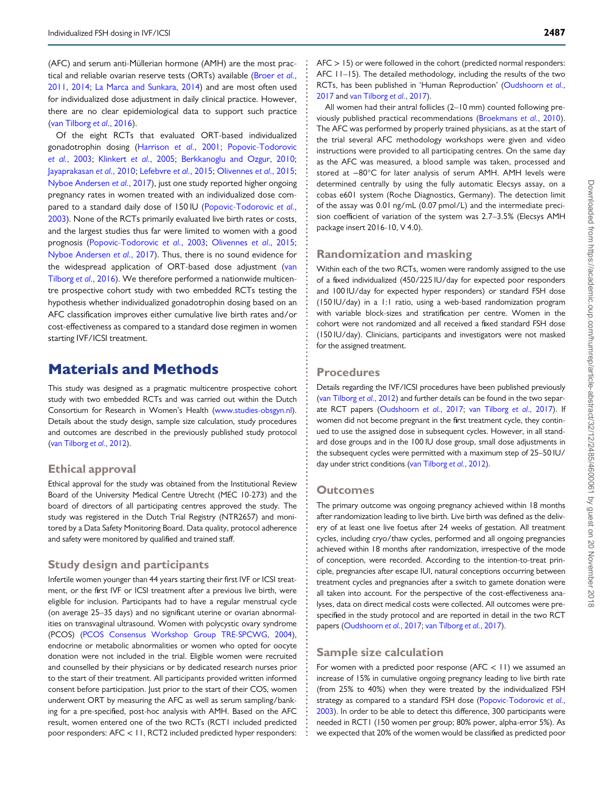(AFC) and serum anti-Müllerian hormone (AMH) are the most prac-tical and reliable ovarian reserve tests (ORTs) available ([Broer](#page-9-0) et al., [2011](#page-9-0), [2014;](#page-9-0) [La Marca and Sunkara, 2014](#page-9-0)) and are most often used for individualized dose adjustment in daily clinical practice. However, there are no clear epidemiological data to support such practice [\(van Tilborg](#page-10-0) et al., 2016).

Of the eight RCTs that evaluated ORT-based individualized gonadotrophin dosing ([Harrison](#page-9-0) et al., 2001; [Popovic-Todorovic](#page-10-0) et al.[, 2003](#page-10-0); [Klinkert](#page-9-0) et al., 2005; [Berkkanoglu and Ozgur, 2010](#page-9-0); [Jayaprakasan](#page-9-0) et al., 2010; [Lefebvre](#page-9-0) et al., 2015; [Olivennes](#page-10-0) et al., 2015; [Nyboe Andersen](#page-10-0) et al., 2017), just one study reported higher ongoing pregnancy rates in women treated with an individualized dose compared to a standard daily dose of 150 IU ([Popovic-Todorovic](#page-10-0) et al., [2003](#page-10-0)). None of the RCTs primarily evaluated live birth rates or costs, and the largest studies thus far were limited to women with a good prognosis ([Popovic-Todorovic](#page-10-0) et al., 2003; [Olivennes](#page-10-0) et al., 2015; [Nyboe Andersen](#page-10-0) et al., 2017). Thus, there is no sound evidence for the widespread application of ORT-based dose adjustment [\(van](#page-10-0) [Tilborg](#page-10-0) et al., 2016). We therefore performed a nationwide multicentre prospective cohort study with two embedded RCTs testing the hypothesis whether individualized gonadotrophin dosing based on an AFC classification improves either cumulative live birth rates and/or cost-effectiveness as compared to a standard dose regimen in women starting IVF/ICSI treatment.

### Materials and Methods

This study was designed as a pragmatic multicentre prospective cohort study with two embedded RCTs and was carried out within the Dutch Consortium for Research in Women's Health [\(www.studies-obsgyn.nl\)](http://www.studies-obsgyn.nl). Details about the study design, sample size calculation, study procedures and outcomes are described in the previously published study protocol ([van Tilborg](#page-10-0) et al., 2012).

#### Ethical approval

Ethical approval for the study was obtained from the Institutional Review Board of the University Medical Centre Utrecht (MEC 10-273) and the board of directors of all participating centres approved the study. The study was registered in the Dutch Trial Registry (NTR2657) and monitored by a Data Safety Monitoring Board. Data quality, protocol adherence and safety were monitored by qualified and trained staff.

### Study design and participants

Infertile women younger than 44 years starting their first IVF or ICSI treatment, or the first IVF or ICSI treatment after a previous live birth, were eligible for inclusion. Participants had to have a regular menstrual cycle (on average 25–35 days) and no significant uterine or ovarian abnormalities on transvaginal ultrasound. Women with polycystic ovary syndrome (PCOS) [\(PCOS Consensus Workshop Group TRE-SPCWG, 2004\)](#page-10-0), endocrine or metabolic abnormalities or women who opted for oocyte donation were not included in the trial. Eligible women were recruited and counselled by their physicians or by dedicated research nurses prior to the start of their treatment. All participants provided written informed consent before participation. Just prior to the start of their COS, women underwent ORT by measuring the AFC as well as serum sampling/banking for a pre-specified, post-hoc analysis with AMH. Based on the AFC result, women entered one of the two RCTs (RCT1 included predicted poor responders: AFC < 11, RCT2 included predicted hyper responders:

 $AFC > 15$ ) or were followed in the cohort (predicted normal responders: AFC 11–15). The detailed methodology, including the results of the two RCTs, has been published in 'Human Reproduction' [\(Oudshoorn](#page-10-0) et al., [2017](#page-10-0) and [van Tilborg](#page-10-0) et al., 2017).

All women had their antral follicles (2–10 mm) counted following previously published practical recommendations [\(Broekmans](#page-9-0) et al., 2010). The AFC was performed by properly trained physicians, as at the start of the trial several AFC methodology workshops were given and video instructions were provided to all participating centres. On the same day as the AFC was measured, a blood sample was taken, processed and stored at −80°C for later analysis of serum AMH. AMH levels were determined centrally by using the fully automatic Elecsys assay, on a cobas e601 system (Roche Diagnostics, Germany). The detection limit of the assay was 0.01 ng/mL (0.07 pmol/L) and the intermediate precision coefficient of variation of the system was 2.7–3.5% (Elecsys AMH package insert 2016-10, V 4.0).

### Randomization and masking

Within each of the two RCTs, women were randomly assigned to the use of a fixed individualized (450/225 IU/day for expected poor responders and 100 IU/day for expected hyper responders) or standard FSH dose (150 IU/day) in a 1:1 ratio, using a web-based randomization program with variable block-sizes and stratification per centre. Women in the cohort were not randomized and all received a fixed standard FSH dose (150 IU/day). Clinicians, participants and investigators were not masked for the assigned treatment.

#### **Procedures**

Details regarding the IVF/ICSI procedures have been published previously [\(van Tilborg](#page-10-0) et al., 2012) and further details can be found in the two separate RCT papers ([Oudshoorn](#page-10-0) et al., 2017; [van Tilborg](#page-10-0) et al., 2017). If women did not become pregnant in the first treatment cycle, they continued to use the assigned dose in subsequent cycles. However, in all standard dose groups and in the 100 IU dose group, small dose adjustments in the subsequent cycles were permitted with a maximum step of 25–50 IU/ day under strict conditions ([van Tilborg](#page-10-0) et al., 2012).

#### **Outcomes**

The primary outcome was ongoing pregnancy achieved within 18 months after randomization leading to live birth. Live birth was defined as the delivery of at least one live foetus after 24 weeks of gestation. All treatment cycles, including cryo/thaw cycles, performed and all ongoing pregnancies achieved within 18 months after randomization, irrespective of the mode of conception, were recorded. According to the intention-to-treat principle, pregnancies after escape IUI, natural conceptions occurring between treatment cycles and pregnancies after a switch to gamete donation were all taken into account. For the perspective of the cost-effectiveness analyses, data on direct medical costs were collected. All outcomes were prespecified in the study protocol and are reported in detail in the two RCT papers ([Oudshoorn](#page-10-0) et al., 2017; [van Tilborg](#page-10-0) et al., 2017).

#### Sample size calculation

For women with a predicted poor response (AFC  $<$  11) we assumed an increase of 15% in cumulative ongoing pregnancy leading to live birth rate (from 25% to 40%) when they were treated by the individualized FSH strategy as compared to a standard FSH dose ([Popovic-Todorovic](#page-10-0) et al., [2003](#page-10-0)). In order to be able to detect this difference, 300 participants were needed in RCT1 (150 women per group; 80% power, alpha-error 5%). As we expected that 20% of the women would be classified as predicted poor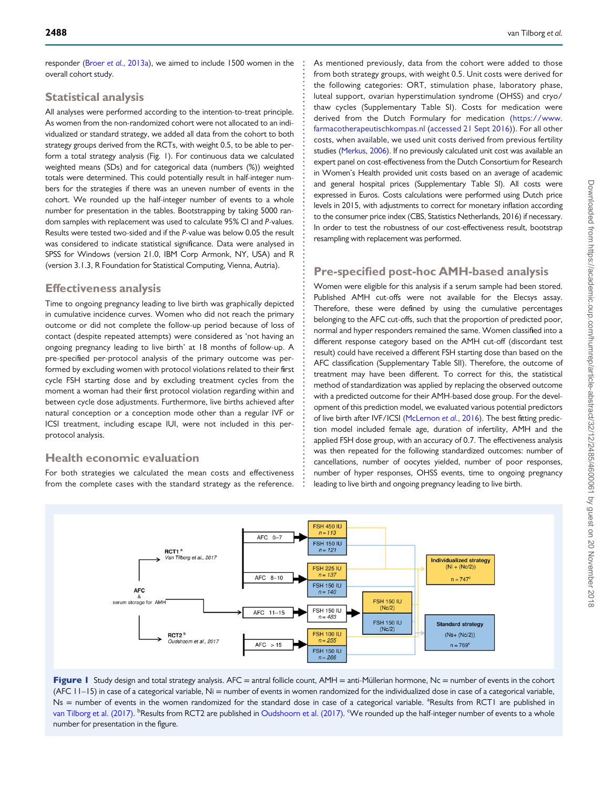responder (Broer et al.[, 2013a\)](#page-9-0), we aimed to include 1500 women in the overall cohort study.

### Statistical analysis

All analyses were performed according to the intention-to-treat principle. As women from the non-randomized cohort were not allocated to an individualized or standard strategy, we added all data from the cohort to both strategy groups derived from the RCTs, with weight 0.5, to be able to perform a total strategy analysis (Fig. 1). For continuous data we calculated weighted means (SDs) and for categorical data (numbers (%)) weighted totals were determined. This could potentially result in half-integer numbers for the strategies if there was an uneven number of events in the cohort. We rounded up the half-integer number of events to a whole number for presentation in the tables. Bootstrapping by taking 5000 random samples with replacement was used to calculate 95% CI and P-values. Results were tested two-sided and if the P-value was below 0.05 the result was considered to indicate statistical significance. Data were analysed in SPSS for Windows (version 21.0, IBM Corp Armonk, NY, USA) and R (version 3.1.3, R Foundation for Statistical Computing, Vienna, Autria).

### Effectiveness analysis

Time to ongoing pregnancy leading to live birth was graphically depicted in cumulative incidence curves. Women who did not reach the primary outcome or did not complete the follow-up period because of loss of contact (despite repeated attempts) were considered as 'not having an ongoing pregnancy leading to live birth' at 18 months of follow-up. A pre-specified per-protocol analysis of the primary outcome was performed by excluding women with protocol violations related to their first cycle FSH starting dose and by excluding treatment cycles from the moment a woman had their first protocol violation regarding within and between cycle dose adjustments. Furthermore, live births achieved after natural conception or a conception mode other than a regular IVF or ICSI treatment, including escape IUI, were not included in this perprotocol analysis.

### Health economic evaluation

For both strategies we calculated the mean costs and effectiveness from the complete cases with the standard strategy as the reference. As mentioned previously, data from the cohort were added to those from both strategy groups, with weight 0.5. Unit costs were derived for the following categories: ORT, stimulation phase, laboratory phase, luteal support, ovarian hyperstimulation syndrome (OHSS) and cryo/ thaw cycles (Supplementary Table SI). Costs for medication were derived from the Dutch Formulary for medication [\(https://www.](https://www.farmacotherapeutischkompas.nl) [farmacotherapeutischkompas.nl](https://www.farmacotherapeutischkompas.nl) [\(accessed 21 Sept 2016](#page-9-0))). For all other costs, when available, we used unit costs derived from previous fertility studies [\(Merkus, 2006](#page-9-0)). If no previously calculated unit cost was available an expert panel on cost-effectiveness from the Dutch Consortium for Research in Women's Health provided unit costs based on an average of academic and general hospital prices (Supplementary Table SI). All costs were expressed in Euros. Costs calculations were performed using Dutch price levels in 2015, with adjustments to correct for monetary inflation according to the consumer price index (CBS, Statistics Netherlands, 2016) if necessary. In order to test the robustness of our cost-effectiveness result, bootstrap resampling with replacement was performed.

### Pre-specified post-hoc AMH-based analysis

Women were eligible for this analysis if a serum sample had been stored. Published AMH cut-offs were not available for the Elecsys assay. Therefore, these were defined by using the cumulative percentages belonging to the AFC cut-offs, such that the proportion of predicted poor, normal and hyper responders remained the same. Women classified into a different response category based on the AMH cut-off (discordant test result) could have received a different FSH starting dose than based on the AFC classification (Supplementary Table SII). Therefore, the outcome of treatment may have been different. To correct for this, the statistical method of standardization was applied by replacing the observed outcome with a predicted outcome for their AMH-based dose group. For the development of this prediction model, we evaluated various potential predictors of live birth after IVF/ICSI ([McLernon](#page-9-0) et al., 2016). The best fitting prediction model included female age, duration of infertility, AMH and the applied FSH dose group, with an accuracy of 0.7. The effectiveness analysis was then repeated for the following standardized outcomes: number of cancellations, number of oocytes yielded, number of poor responses, number of hyper responses, OHSS events, time to ongoing pregnancy leading to live birth and ongoing pregnancy leading to live birth.



Figure 1 Study design and total strategy analysis. AFC = antral follicle count, AMH = anti-Müllerian hormone, Nc = number of events in the cohort (AFC 11–15) in case of a categorical variable, Ni = number of events in women randomized for the individualized dose in case of a categorical variable, Ns = number of events in the women randomized for the standard dose in case of a categorical variable. <sup>a</sup>Results from RCT1 are published in [van Tilborg et al. \(2017\).](#page-10-0) <sup>b</sup>Results from RCT2 are published in [Oudshoorn et al. \(2017\)](#page-10-0). <sup>c</sup>We rounded up the half-integer number of events to a whole number for presentation in the figure.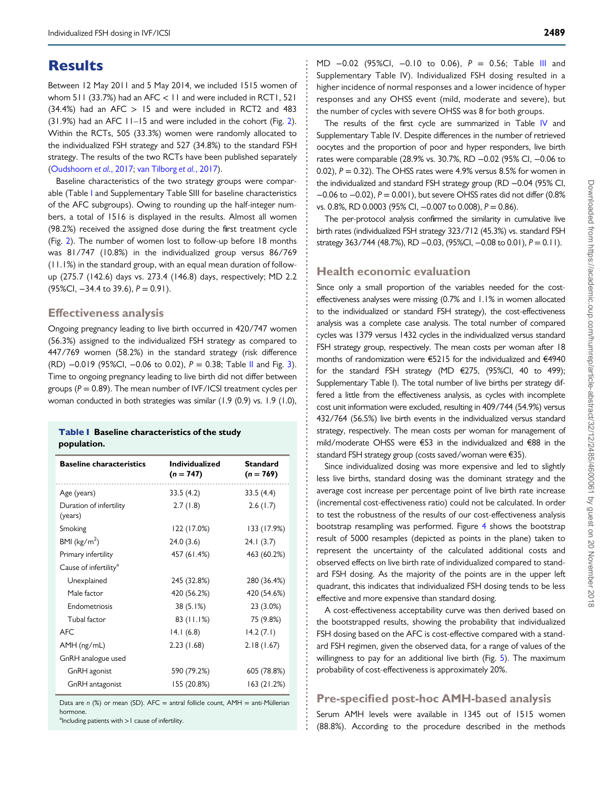## **Results**

Between 12 May 2011 and 5 May 2014, we included 1515 women of whom 511 (33.7%) had an AFC  $< 11$  and were included in RCT1, 521  $(34.4%)$  had an AFC  $> 15$  and were included in RCT2 and 483 (31.9%) had an AFC 11–15 and were included in the cohort (Fig. [2\)](#page-5-0). Within the RCTs, 505 (33.3%) women were randomly allocated to the individualized FSH strategy and 527 (34.8%) to the standard FSH strategy. The results of the two RCTs have been published separately [\(Oudshoorn](#page-10-0) et al., 2017; [van Tilborg](#page-10-0) et al., 2017).

Baseline characteristics of the two strategy groups were comparable (Table I and Supplementary Table SIII for baseline characteristics of the AFC subgroups). Owing to rounding up the half-integer numbers, a total of 1516 is displayed in the results. Almost all women (98.2%) received the assigned dose during the first treatment cycle (Fig. [2\)](#page-5-0). The number of women lost to follow-up before 18 months was 81/747 (10.8%) in the individualized group versus 86/769 (11.1%) in the standard group, with an equal mean duration of followup (275.7 (142.6) days vs. 273.4 (146.8) days, respectively; MD 2.2  $(95\%CI, -34.4 \text{ to } 39.6), P = 0.91$ .

#### Effectiveness analysis

Ongoing pregnancy leading to live birth occurred in 420/747 women (56.3%) assigned to the individualized FSH strategy as compared to 447/769 women (58.2%) in the standard strategy (risk difference (RD) −0.019 (95%CI, −0.06 to 0.02), P = 0.38; Table [II](#page-5-0) and Fig. [3\)](#page-6-0). Time to ongoing pregnancy leading to live birth did not differ between groups ( $P = 0.89$ ). The mean number of IVF/ICSI treatment cycles per woman conducted in both strategies was similar (1.9 (0.9) vs. 1.9 (1.0),

#### Table I Baseline characteristics of the study population.

| <b>Baseline characteristics</b>    | <b>Individualized</b><br>$(n = 747)$ | <b>Standard</b><br>$(n = 769)$ |
|------------------------------------|--------------------------------------|--------------------------------|
| Age (years)                        | 33.5(4.2)                            | 33.5(4.4)                      |
| Duration of infertility<br>(years) | 2.7(1.8)                             | 2.6(1.7)                       |
| Smoking                            | 122 (17.0%)                          | 133 (17.9%)                    |
| BMI ( $\text{kg/m}^2$ )            | 24.0(3.6)                            | 24.1(3.7)                      |
| Primary infertility                | 457 (61.4%)                          | 463 (60.2%)                    |
| Cause of infertility <sup>a</sup>  |                                      |                                |
| Unexplained                        | 245 (32.8%)                          | 280 (36.4%)                    |
| Male factor                        | 420 (56.2%)                          | 420 (54.6%)                    |
| Endometriosis                      | 38 (5.1%)                            | 23 (3.0%)                      |
| Tubal factor                       | $83$ (11.1%)                         | 75 (9.8%)                      |
| <b>AFC</b>                         | 14.1(6.8)                            | 14.2(7.1)                      |
| AMH (ng/mL)                        | 2.23(1.68)                           | 2.18(1.67)                     |
| GnRH analogue used                 |                                      |                                |
| GnRH agonist                       | 590 (79.2%)                          | 605 (78.8%)                    |
| GnRH antagonist                    | 155 (20.8%)                          | 163(21.2%)                     |

Data are  $n$  (%) or mean (SD). AFC = antral follicle count, AMH = anti-Müllerian hormone.

<sup>a</sup>Including patients with > I cause of infertility.

MD -0.02 (95%CI, -0.10 to 0.06), P = 0.56; Table [III](#page-6-0) and Supplementary Table IV). Individualized FSH dosing resulted in a higher incidence of normal responses and a lower incidence of hyper responses and any OHSS event (mild, moderate and severe), but the number of cycles with severe OHSS was 8 for both groups.

The results of the first cycle are summarized in Table [IV](#page-7-0) and Supplementary Table IV. Despite differences in the number of retrieved oocytes and the proportion of poor and hyper responders, live birth rates were comparable (28.9% vs. 30.7%, RD −0.02 (95% CI, −0.06 to 0.02),  $P = 0.32$ ). The OHSS rates were 4.9% versus 8.5% for women in the individualized and standard FSH strategy group (RD −0.04 (95% CI, −0.06 to −0.02), P = 0.001), but severe OHSS rates did not differ (0.8% vs. 0.8%, RD 0.0003 (95% CI, -0.007 to 0.008), P = 0.86).

The per-protocol analysis confirmed the similarity in cumulative live birth rates (individualized FSH strategy 323/712 (45.3%) vs. standard FSH strategy 363/744 (48.7%), RD -0.03, (95%CI, -0.08 to 0.01), P = 0.11).

#### Health economic evaluation

Since only a small proportion of the variables needed for the costeffectiveness analyses were missing (0.7% and 1.1% in women allocated to the individualized or standard FSH strategy), the cost-effectiveness analysis was a complete case analysis. The total number of compared cycles was 1379 versus 1432 cycles in the individualized versus standard FSH strategy group, respectively. The mean costs per woman after 18 months of randomization were €5215 for the individualized and €4940 for the standard FSH strategy (MD €275, (95%CI, 40 to 499); Supplementary Table I). The total number of live births per strategy differed a little from the effectiveness analysis, as cycles with incomplete cost unit information were excluded, resulting in 409/744 (54.9%) versus 432/764 (56.5%) live birth events in the individualized versus standard strategy, respectively. The mean costs per woman for management of mild/moderate OHSS were €53 in the individualized and €88 in the standard FSH strategy group (costs saved/woman were €35).

Since individualized dosing was more expensive and led to slightly less live births, standard dosing was the dominant strategy and the average cost increase per percentage point of live birth rate increase (incremental cost-effectiveness ratio) could not be calculated. In order to test the robustness of the results of our cost-effectiveness analysis bootstrap resampling was performed. Figure [4](#page-7-0) shows the bootstrap result of 5000 resamples (depicted as points in the plane) taken to represent the uncertainty of the calculated additional costs and observed effects on live birth rate of individualized compared to standard FSH dosing. As the majority of the points are in the upper left quadrant, this indicates that individualized FSH dosing tends to be less effective and more expensive than standard dosing.

A cost-effectiveness acceptability curve was then derived based on the bootstrapped results, showing the probability that individualized FSH dosing based on the AFC is cost-effective compared with a standard FSH regimen, given the observed data, for a range of values of the willingness to pay for an additional live birth (Fig. [5\)](#page-8-0). The maximum probability of cost-effectiveness is approximately 20%.

### Pre-specified post-hoc AMH-based analysis

Serum AMH levels were available in 1345 out of 1515 women (88.8%). According to the procedure described in the methods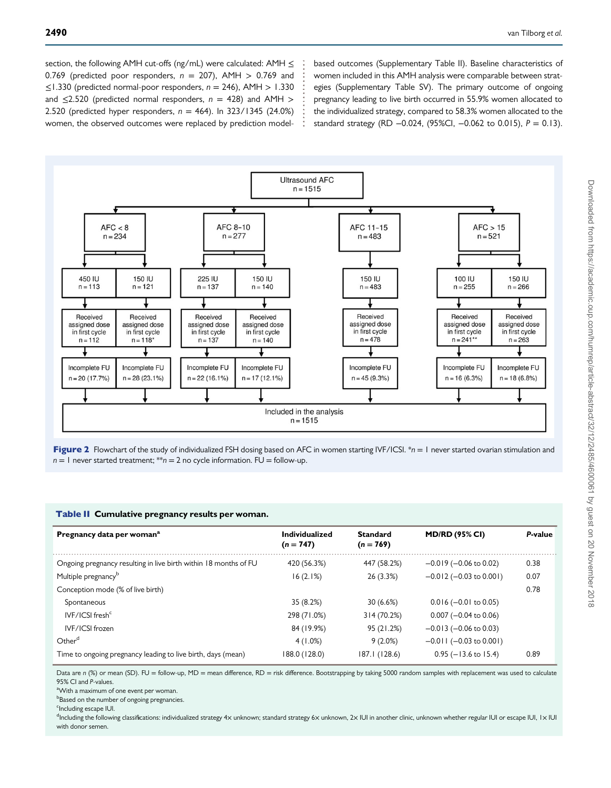<span id="page-5-0"></span>section, the following AMH cut-offs (ng/mL) were calculated: AMH  $\leq$ 0.769 (predicted poor responders,  $n = 207$ ), AMH  $> 0.769$  and ≤1.330 (predicted normal-poor responders, n = 246), AMH > 1.330 and  $\leq$ 2.520 (predicted normal responders,  $n = 428$ ) and AMH  $>$ 2.520 (predicted hyper responders,  $n = 464$ ). In 323/1345 (24.0%) women, the observed outcomes were replaced by prediction modelbased outcomes (Supplementary Table II). Baseline characteristics of women included in this AMH analysis were comparable between strategies (Supplementary Table SV). The primary outcome of ongoing pregnancy leading to live birth occurred in 55.9% women allocated to the individualized strategy, compared to 58.3% women allocated to the standard strategy (RD  $-0.024$ , (95%Cl,  $-0.062$  to 0.015),  $P = 0.13$ ).





#### Table II Cumulative pregnancy results per woman.

| Pregnancy data per woman <sup>a</sup>                            | Individualized<br>$(n = 747)$ | <b>Standard</b><br>$(n = 769)$ | <b>MD/RD (95% CI)</b>        | P-value |
|------------------------------------------------------------------|-------------------------------|--------------------------------|------------------------------|---------|
| Ongoing pregnancy resulting in live birth within 18 months of FU | 420 (56.3%)                   | 447 (58.2%)                    | $-0.019$ ( $-0.06$ to 0.02)  | 0.38    |
| Multiple pregnancy <sup>b</sup>                                  | 16(2.1%)                      | 26(3.3%)                       | $-0.012$ ( $-0.03$ to 0.001) | 0.07    |
| Conception mode (% of live birth)                                |                               |                                |                              | 0.78    |
| Spontaneous                                                      | 35 (8.2%)                     | 30(6.6%)                       | $0.016 (-0.01 to 0.05)$      |         |
| IVF/ICSI fresh <sup>c</sup>                                      | 298 (71.0%)                   | 314 (70.2%)                    | $0.007$ (-0.04 to 0.06)      |         |
| IVF/ICSI frozen                                                  | 84 (19.9%)                    | 95 (21.2%)                     | $-0.013$ ( $-0.06$ to 0.03)  |         |
| Other <sup>d</sup>                                               | 4(1.0%)                       | $9(2.0\%)$                     | $-0.011$ ( $-0.03$ to 0.001) |         |
| Time to ongoing pregnancy leading to live birth, days (mean)     | 188.0 (128.0)                 | 187.1 (128.6)                  | $0.95$ (-13.6 to 15.4)       | 0.89    |

Data are n (%) or mean (SD). FU = follow-up, MD = mean difference, RD = risk difference. Bootstrapping by taking 5000 random samples with replacement was used to calculate 95% CI and P-values.

<sup>a</sup>With a maximum of one event per woman.

**bBased on the number of ongoing pregnancies.** 

<sup>c</sup>Including escape IUI.

<sup>d</sup>Including the following classifications: individualized strategy 4× unknown; standard strategy 6× unknown, 2× IUI in another clinic, unknown whether regular IUI or escape IUI, 1× IUI with donor semen.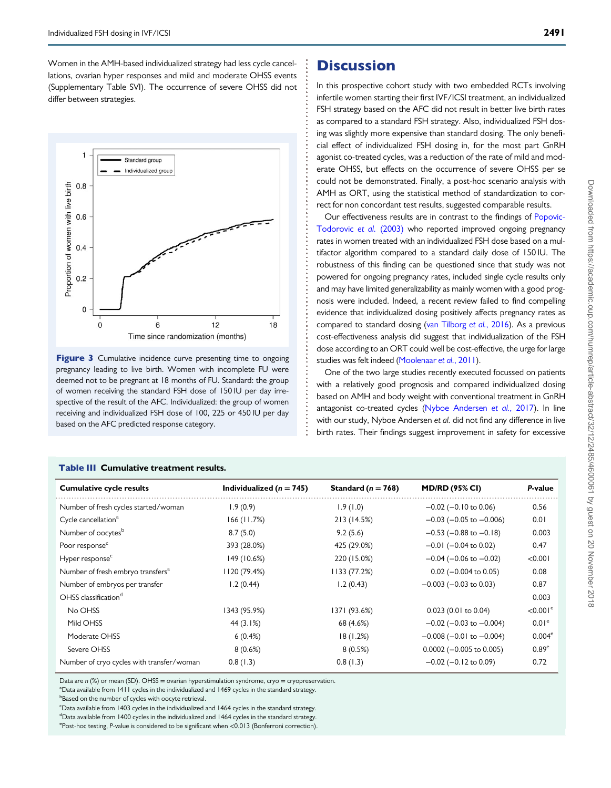<span id="page-6-0"></span>Women in the AMH-based individualized strategy had less cycle cancellations, ovarian hyper responses and mild and moderate OHSS events (Supplementary Table SVI). The occurrence of severe OHSS did not differ between strategies.



Figure 3 Cumulative incidence curve presenting time to ongoing pregnancy leading to live birth. Women with incomplete FU were deemed not to be pregnant at 18 months of FU. Standard: the group of women receiving the standard FSH dose of 150 IU per day irrespective of the result of the AFC. Individualized: the group of women receiving and individualized FSH dose of 100, 225 or 450 IU per day based on the AFC predicted response category.

# **Discussion**

In this prospective cohort study with two embedded RCTs involving infertile women starting their first IVF/ICSI treatment, an individualized FSH strategy based on the AFC did not result in better live birth rates as compared to a standard FSH strategy. Also, individualized FSH dosing was slightly more expensive than standard dosing. The only beneficial effect of individualized FSH dosing in, for the most part GnRH agonist co-treated cycles, was a reduction of the rate of mild and moderate OHSS, but effects on the occurrence of severe OHSS per se could not be demonstrated. Finally, a post-hoc scenario analysis with AMH as ORT, using the statistical method of standardization to correct for non concordant test results, suggested comparable results.

Our effectiveness results are in contrast to the findings of [Popovic-](#page-10-0)[Todorovic](#page-10-0) et al. (2003) who reported improved ongoing pregnancy rates in women treated with an individualized FSH dose based on a multifactor algorithm compared to a standard daily dose of 150 IU. The robustness of this finding can be questioned since that study was not powered for ongoing pregnancy rates, included single cycle results only and may have limited generalizability as mainly women with a good prognosis were included. Indeed, a recent review failed to find compelling evidence that individualized dosing positively affects pregnancy rates as compared to standard dosing ([van Tilborg](#page-10-0) et al., 2016). As a previous cost-effectiveness analysis did suggest that individualization of the FSH dose according to an ORT could well be cost-effective, the urge for large studies was felt indeed [\(Moolenaar](#page-9-0) et al., 2011).

One of the two large studies recently executed focussed on patients with a relatively good prognosis and compared individualized dosing based on AMH and body weight with conventional treatment in GnRH antagonist co-treated cycles [\(Nyboe Andersen](#page-10-0) et al., 2017). In line with our study, Nyboe Andersen et al. did not find any difference in live birth rates. Their findings suggest improvement in safety for excessive

| <b>Cumulative cycle results</b>               | Individualized ( $n = 745$ ) | Standard ( $n = 768$ ) | <b>MD/RD (95% CI)</b>            | P-value                |
|-----------------------------------------------|------------------------------|------------------------|----------------------------------|------------------------|
| Number of fresh cycles started/woman          | 1.9(0.9)                     | 1.9(1.0)               | $-0.02$ ( $-0.10$ to 0.06)       | 0.56                   |
| Cycle cancellation <sup>a</sup>               | 166 (11.7%)                  | 213 (14.5%)            | $-0.03$ ( $-0.05$ to $-0.006$ )  | 0.01                   |
| Number of oocytes <sup>b</sup>                | 8.7(5.0)                     | 9.2(5.6)               | $-0.53$ ( $-0.88$ to $-0.18$ )   | 0.003                  |
| Poor response <sup>c</sup>                    | 393 (28.0%)                  | 425 (29.0%)            | $-0.01$ ( $-0.04$ to 0.02)       | 0.47                   |
| Hyper response <sup>c</sup>                   | 149 (10.6%)                  | 220 (15.0%)            | $-0.04$ ( $-0.06$ to $-0.02$ )   | < 0.001                |
| Number of fresh embryo transfers <sup>a</sup> | 1120 (79.4%)                 | 1133 (77.2%)           | $0.02$ (-0.004 to 0.05)          | 0.08                   |
| Number of embryos per transfer                | 1.2(0.44)                    | 1.2(0.43)              | $-0.003$ ( $-0.03$ to 0.03)      | 0.87                   |
| OHSS classification <sup>d</sup>              |                              |                        |                                  | 0.003                  |
| No OHSS                                       | I343 (95.9%)                 | I37I (93.6%)           | $0.023$ (0.01 to 0.04)           | $< 0.001$ <sup>e</sup> |
| Mild OHSS                                     | 44 (3.1%)                    | 68 (4.6%)              | $-0.02$ ( $-0.03$ to $-0.004$ )  | 0.01 <sup>e</sup>      |
| Moderate OHSS                                 | 6(0.4%)                      | 18(1.2%)               | $-0.008$ ( $-0.01$ to $-0.004$ ) | $0.004^e$              |
| Severe OHSS                                   | 8(0.6%)                      | 8(0.5%)                | $0.0002$ (-0.005 to 0.005)       | 0.89e                  |
| Number of cryo cycles with transfer/woman     | 0.8(1.3)                     | 0.8(1.3)               | $-0.02$ ( $-0.12$ to 0.09)       | 0.72                   |

#### Table III Cumulative treatment results.

Data are  $n$  (%) or mean (SD). OHSS = ovarian hyperstimulation syndrome, cryo = cryopreservation.

<sup>a</sup>Data available from 1411 cycles in the individualized and 1469 cycles in the standard strategy.

**Based on the number of cycles with oocyte retrieval.** 

<sup>c</sup>Data available from 1403 cycles in the individualized and 1464 cycles in the standard strategy.

<sup>d</sup>Data available from 1400 cycles in the individualized and 1464 cycles in the standard strategy.

e Post-hoc testing, P-value is considered to be significant when <0.013 (Bonferroni correction).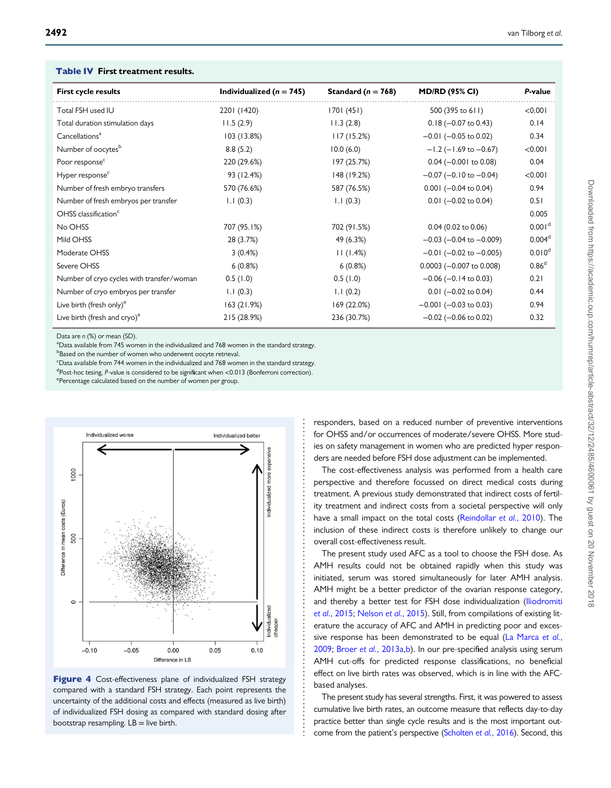| <b>First cycle results</b>                | Individualized ( $n = 745$ ) | Standard ( $n = 768$ ) | <b>MD/RD (95% CI)</b>           | P-value            |  |
|-------------------------------------------|------------------------------|------------------------|---------------------------------|--------------------|--|
| Total FSH used IU                         | 2201 (1420)                  | 1701(451)              | 500 (395 to 611)                | < 0.001            |  |
| Total duration stimulation days           | 11.5(2.9)                    | 11.3(2.8)              | $0.18 (-0.07 to 0.43)$          | 0.14               |  |
| Cancellations <sup>a</sup>                | 103 (13.8%)                  | 117(15.2%)             | $-0.01$ ( $-0.05$ to 0.02)      | 0.34               |  |
| Number of oocytes <sup>b</sup>            | 8.8(5.2)                     | 10.0(6.0)              | $-1.2$ ( $-1.69$ to $-0.67$ )   | < 0.001            |  |
| Poor response <sup>c</sup>                | 220 (29.6%)                  | 197 (25.7%)            | $0.04 (-0.001$ to 0.08)         | 0.04               |  |
| Hyper response <sup>c</sup>               | 93 (12.4%)                   | 148 (19.2%)            | $-0.07$ ( $-0.10$ to $-0.04$ )  | < 0.001            |  |
| Number of fresh embryo transfers          | 570 (76.6%)                  | 587 (76.5%)            | $0.001 (-0.04 to 0.04)$         | 0.94               |  |
| Number of fresh embryos per transfer      | 1.1(0.3)                     | 1.1(0.3)               | $0.01$ (-0.02 to 0.04)          | 0.51               |  |
| OHSS classification <sup>c</sup>          |                              |                        |                                 | 0.005              |  |
| No OHSS                                   | 707 (95.1%)                  | 702 (91.5%)            | $0.04$ (0.02 to 0.06)           | 0.001 <sup>d</sup> |  |
| Mild OHSS                                 | 28 (3.7%)                    | 49 (6.3%)              | $-0.03$ ( $-0.04$ to $-0.009$ ) | 0.004 <sup>d</sup> |  |
| Moderate OHSS                             | 3(0.4%)                      | 11(1.4%)               | $-0.01$ ( $-0.02$ to $-0.005$ ) | 0.010 <sup>d</sup> |  |
| Severe OHSS                               | 6(0.8%)                      | 6(0.8%)                | $0.0003$ (-0.007 to 0.008)      | 0.86 <sup>d</sup>  |  |
| Number of cryo cycles with transfer/woman | 0.5(1.0)                     | 0.5(1.0)               | $-0.06$ ( $-0.14$ to 0.03)      | 0.21               |  |
| Number of cryo embryos per transfer       | 1.1(0.3)                     | 1.1(0.2)               | $0.01$ (-0.02 to 0.04)          | 0.44               |  |
| Live birth (fresh only) <sup>e</sup>      | 163(21.9%)                   | 169 (22.0%)            | $-0.001$ ( $-0.03$ to 0.03)     | 0.94               |  |
| Live birth (fresh and cryo) <sup>e</sup>  | 215 (28.9%)                  | 236 (30.7%)            | $-0.02$ ( $-0.06$ to 0.02)      | 0.32               |  |

#### <span id="page-7-0"></span>Table IV First treatment results.

Data are  $n$  (%) or mean (SD).

<sup>a</sup>Data available from 745 women in the individualized and 768 women in the standard strategy.

**Based on the number of women who underwent oocyte retrieval.** 

c Data available from 744 women in the individualized and 768 women in the standard strategy.

<sup>d</sup>Post-hoc tesing, P-value is considered to be significant when <0.013 (Bonferroni correction).

<sup>e</sup>Percentage calculated based on the number of women per group.





responders, based on a reduced number of preventive interventions for OHSS and/or occurrences of moderate/severe OHSS. More studies on safety management in women who are predicted hyper responders are needed before FSH dose adjustment can be implemented.

The cost-effectiveness analysis was performed from a health care perspective and therefore focussed on direct medical costs during treatment. A previous study demonstrated that indirect costs of fertility treatment and indirect costs from a societal perspective will only have a small impact on the total costs [\(Reindollar](#page-10-0) et al., 2010). The inclusion of these indirect costs is therefore unlikely to change our overall cost-effectiveness result.

The present study used AFC as a tool to choose the FSH dose. As AMH results could not be obtained rapidly when this study was initiated, serum was stored simultaneously for later AMH analysis. AMH might be a better predictor of the ovarian response category, and thereby a better test for FSH dose individualization ([Iliodromiti](#page-9-0) et al.[, 2015;](#page-9-0) [Nelson](#page-9-0) et al., 2015). Still, from compilations of existing literature the accuracy of AFC and AMH in predicting poor and exces-sive response has been demonstrated to be equal ([La Marca](#page-9-0) et al., [2009;](#page-9-0) Broer et al.[, 2013a,b](#page-9-0)). In our pre-specified analysis using serum AMH cut-offs for predicted response classifications, no beneficial effect on live birth rates was observed, which is in line with the AFCbased analyses.

The present study has several strengths. First, it was powered to assess cumulative live birth rates, an outcome measure that reflects day-to-day practice better than single cycle results and is the most important outcome from the patient's perspective [\(Scholten](#page-10-0) et al., 2016). Second, this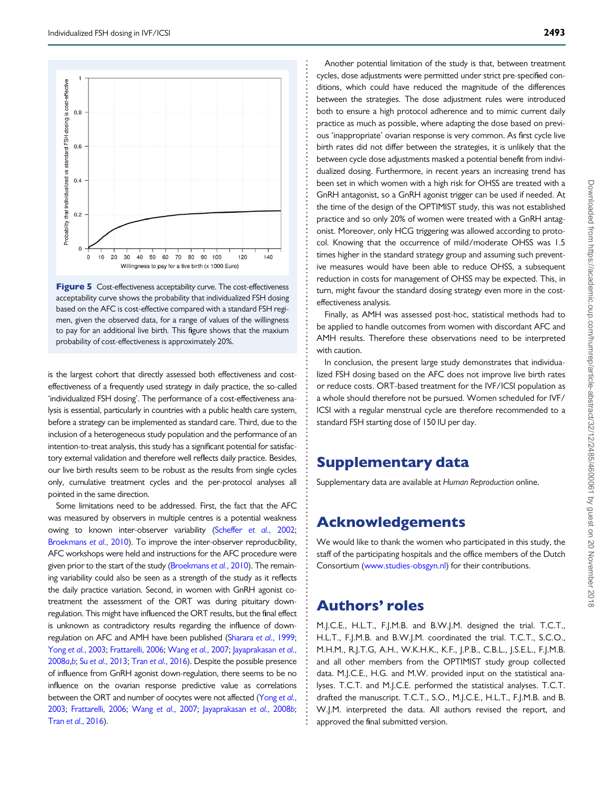<span id="page-8-0"></span>



is the largest cohort that directly assessed both effectiveness and costeffectiveness of a frequently used strategy in daily practice, the so-called 'individualized FSH dosing'. The performance of a cost-effectiveness analysis is essential, particularly in countries with a public health care system, before a strategy can be implemented as standard care. Third, due to the inclusion of a heterogeneous study population and the performance of an intention-to-treat analysis, this study has a significant potential for satisfactory external validation and therefore well reflects daily practice. Besides, our live birth results seem to be robust as the results from single cycles only, cumulative treatment cycles and the per-protocol analyses all pointed in the same direction.

Some limitations need to be addressed. First, the fact that the AFC was measured by observers in multiple centres is a potential weakness owing to known inter-observer variability [\(Scheffer](#page-10-0) et al., 2002; [Broekmans](#page-9-0) et al., 2010). To improve the inter-observer reproducibility, AFC workshops were held and instructions for the AFC procedure were given prior to the start of the study [\(Broekmans](#page-9-0) et al., 2010). The remaining variability could also be seen as a strength of the study as it reflects the daily practice variation. Second, in women with GnRH agonist cotreatment the assessment of the ORT was during pituitary downregulation. This might have influenced the ORT results, but the final effect is unknown as contradictory results regarding the influence of downregulation on AFC and AMH have been published [\(Sharara](#page-10-0) et al., 1999; Yong et al.[, 2003](#page-10-0); [Frattarelli, 2006](#page-9-0); Wang et al.[, 2007](#page-10-0); [Jayaprakasan](#page-9-0) et al., [2008](#page-9-0)a,[b](#page-9-0); Su et al.[, 2013;](#page-10-0) Tran et al.[, 2016\)](#page-10-0). Despite the possible presence of influence from GnRH agonist down-regulation, there seems to be no influence on the ovarian response predictive value as correlations between the ORT and number of oocytes were not affected ([Yong](#page-10-0) et al., [2003;](#page-10-0) [Frattarelli, 2006](#page-9-0); Wang et al.[, 2007;](#page-10-0) [Jayaprakasan](#page-9-0) et al., 2008b; Tran et al.[, 2016\)](#page-10-0).

Another potential limitation of the study is that, between treatment cycles, dose adjustments were permitted under strict pre-specified conditions, which could have reduced the magnitude of the differences between the strategies. The dose adjustment rules were introduced both to ensure a high protocol adherence and to mimic current daily practice as much as possible, where adapting the dose based on previous 'inappropriate' ovarian response is very common. As first cycle live birth rates did not differ between the strategies, it is unlikely that the between cycle dose adjustments masked a potential benefit from individualized dosing. Furthermore, in recent years an increasing trend has been set in which women with a high risk for OHSS are treated with a GnRH antagonist, so a GnRH agonist trigger can be used if needed. At the time of the design of the OPTIMIST study, this was not established practice and so only 20% of women were treated with a GnRH antagonist. Moreover, only HCG triggering was allowed according to protocol. Knowing that the occurrence of mild/moderate OHSS was 1.5 times higher in the standard strategy group and assuming such preventive measures would have been able to reduce OHSS, a subsequent reduction in costs for management of OHSS may be expected. This, in turn, might favour the standard dosing strategy even more in the costeffectiveness analysis.

Finally, as AMH was assessed post-hoc, statistical methods had to be applied to handle outcomes from women with discordant AFC and AMH results. Therefore these observations need to be interpreted with caution.

In conclusion, the present large study demonstrates that individualized FSH dosing based on the AFC does not improve live birth rates or reduce costs. ORT-based treatment for the IVF/ICSI population as a whole should therefore not be pursued. Women scheduled for IVF/ ICSI with a regular menstrual cycle are therefore recommended to a standard FSH starting dose of 150 IU per day.

# Supplementary data

Supplementary data are available at Human Reproduction online.

# Acknowledgements

We would like to thank the women who participated in this study, the staff of the participating hospitals and the office members of the Dutch Consortium [\(www.studies-obsgyn.nl](http://www.studies-obsgyn.nl)) for their contributions.

# Authors' roles

M.J.C.E., H.L.T., F.J.M.B. and B.W.J.M. designed the trial. T.C.T., H.L.T., F.J.M.B. and B.W.J.M. coordinated the trial. T.C.T., S.C.O., M.H.M., R.J.T.G, A.H., W.K.H.K., K.F., J.P.B., C.B.L., J.S.E.L., F.J.M.B. and all other members from the OPTIMIST study group collected data. M.J.C.E., H.G. and M.W. provided input on the statistical analyses. T.C.T. and M.J.C.E. performed the statistical analyses. T.C.T. drafted the manuscript. T.C.T., S.O., M.J.C.E., H.L.T., F.J.M.B. and B. W.J.M. interpreted the data. All authors revised the report, and approved the final submitted version.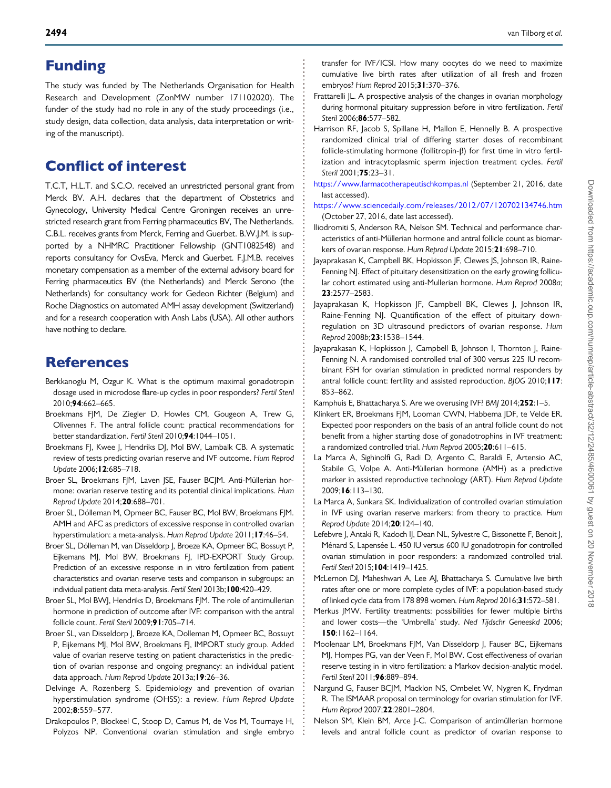# <span id="page-9-0"></span>Funding

The study was funded by The Netherlands Organisation for Health Research and Development (ZonMW number 171102020). The funder of the study had no role in any of the study proceedings (i.e., study design, data collection, data analysis, data interpretation or writing of the manuscript).

# Conflict of interest

T.C.T, H.L.T. and S.C.O. received an unrestricted personal grant from Merck BV. A.H. declares that the department of Obstetrics and Gynecology, University Medical Centre Groningen receives an unrestricted research grant from Ferring pharmaceutics BV, The Netherlands. C.B.L. receives grants from Merck, Ferring and Guerbet. B.W.J.M. is supported by a NHMRC Practitioner Fellowship (GNT1082548) and reports consultancy for OvsEva, Merck and Guerbet. F.J.M.B. receives monetary compensation as a member of the external advisory board for Ferring pharmaceutics BV (the Netherlands) and Merck Serono (the Netherlands) for consultancy work for Gedeon Richter (Belgium) and Roche Diagnostics on automated AMH assay development (Switzerland) and for a research cooperation with Ansh Labs (USA). All other authors have nothing to declare.

# References

- Berkkanoglu M, Ozgur K. What is the optimum maximal gonadotropin dosage used in microdose flare-up cycles in poor responders? Fertil Steril 2010;94:662–665.
- Broekmans FJM, De Ziegler D, Howles CM, Gougeon A, Trew G, Olivennes F. The antral follicle count: practical recommendations for better standardization. Fertil Steril 2010;94:1044–1051.
- Broekmans FJ, Kwee J, Hendriks DJ, Mol BW, Lambalk CB. A systematic review of tests predicting ovarian reserve and IVF outcome. Hum Reprod Update 2006;12:685–718.
- Broer SL, Broekmans FJM, Laven JSE, Fauser BCJM. Anti-Müllerian hormone: ovarian reserve testing and its potential clinical implications. Hum Reprod Update 2014;20:688–701.
- Broer SL, Dólleman M, Opmeer BC, Fauser BC, Mol BW, Broekmans FJM. AMH and AFC as predictors of excessive response in controlled ovarian hyperstimulation: a meta-analysis. Hum Reprod Update 2011; 17:46-54.
- Broer SL, Dólleman M, van Disseldorp J, Broeze KA, Opmeer BC, Bossuyt P, Eijkemans MJ, Mol BW, Broekmans FJ, IPD-EXPORT Study Group. Prediction of an excessive response in in vitro fertilization from patient characteristics and ovarian reserve tests and comparison in subgroups: an individual patient data meta-analysis. Fertil Steril 2013b;100:420–429.
- Broer SL, Mol BWJ, Hendriks D, Broekmans FJM. The role of antimullerian hormone in prediction of outcome after IVF: comparison with the antral follicle count. Fertil Steril 2009;91:705–714.
- Broer SL, van Disseldorp J, Broeze KA, Dolleman M, Opmeer BC, Bossuyt P, Eijkemans MJ, Mol BW, Broekmans FJ, IMPORT study group. Added value of ovarian reserve testing on patient characteristics in the prediction of ovarian response and ongoing pregnancy: an individual patient data approach. Hum Reprod Update 2013a;19:26–36.
- Delvinge A, Rozenberg S. Epidemiology and prevention of ovarian hyperstimulation syndrome (OHSS): a review. Hum Reprod Update 2002;8:559–577.
- Drakopoulos P, Blockeel C, Stoop D, Camus M, de Vos M, Tournaye H, Polyzos NP. Conventional ovarian stimulation and single embryo

transfer for IVF/ICSI. How many oocytes do we need to maximize cumulative live birth rates after utilization of all fresh and frozen embryos? Hum Reprod 2015;31:370-376.

- Frattarelli |L. A prospective analysis of the changes in ovarian morphology during hormonal pituitary suppression before in vitro fertilization. Fertil Steril 2006;86:577–582.
- Harrison RF, Jacob S, Spillane H, Mallon E, Hennelly B, A prospective randomized clinical trial of differing starter doses of recombinant follicle-stimulating hormone (follitropin-β) for first time in vitro fertilization and intracytoplasmic sperm injection treatment cycles. Fertil Steril 2001;75:23–31.
- <https://www.farmacotherapeutischkompas.nl> (September 21, 2016, date last accessed).
- <https://www.sciencedaily.com/releases/2012/07/120702134746.htm> (October 27, 2016, date last accessed).
- Iliodromiti S, Anderson RA, Nelson SM. Technical and performance characteristics of anti-Müllerian hormone and antral follicle count as biomarkers of ovarian response. Hum Reprod Update 2015;21:698–710.
- Jayaprakasan K, Campbell BK, Hopkisson JF, Clewes JS, Johnson IR, Raine-Fenning NJ. Effect of pituitary desensitization on the early growing follicular cohort estimated using anti-Mullerian hormone. Hum Reprod 2008a; 23:2577–2583.
- Jayaprakasan K, Hopkisson JF, Campbell BK, Clewes J, Johnson IR, Raine-Fenning NJ. Quantification of the effect of pituitary downregulation on 3D ultrasound predictors of ovarian response. Hum Reprod 2008b;23:1538–1544.
- Jayaprakasan K, Hopkisson J, Campbell B, Johnson I, Thornton J, Raine-Fenning N. A randomised controlled trial of 300 versus 225 IU recombinant FSH for ovarian stimulation in predicted normal responders by antral follicle count: fertility and assisted reproduction. BJOG 2010; I I7: 853–862.

Kamphuis E, Bhattacharya S. Are we overusing IVF? BMJ 2014;252:1–5.

- Klinkert ER, Broekmans FJM, Looman CWN, Habbema JDF, te Velde ER. Expected poor responders on the basis of an antral follicle count do not benefit from a higher starting dose of gonadotrophins in IVF treatment: a randomized controlled trial. Hum Reprod 2005;20:611–615.
- La Marca A, Sighinolfi G, Radi D, Argento C, Baraldi E, Artensio AC, Stabile G, Volpe A. Anti-Müllerian hormone (AMH) as a predictive marker in assisted reproductive technology (ART). Hum Reprod Update 2009;16:113–130.
- La Marca A, Sunkara SK. Individualization of controlled ovarian stimulation in IVF using ovarian reserve markers: from theory to practice. Hum Reprod Update 2014;20:124–140.
- Lefebvre J, Antaki R, Kadoch IJ, Dean NL, Sylvestre C, Bissonette F, Benoit J, Ménard S, Lapensée L. 450 IU versus 600 IU gonadotropin for controlled ovarian stimulation in poor responders: a randomized controlled trial. Fertil Steril 2015;104:1419–1425.
- McLernon DJ, Maheshwari A, Lee AJ, Bhattacharya S. Cumulative live birth rates after one or more complete cycles of IVF: a population-based study of linked cycle data from 178 898 women. Hum Reprod 2016;31:572–581.
- Merkus JMW. Fertility treatments: possibilities for fewer multiple births and lower costs—the 'Umbrella' study. Ned Tijdschr Geneeskd 2006; 150:1162–1164.
- Moolenaar LM, Broekmans FJM, Van Disseldorp J, Fauser BC, Eijkemans MJ, Hompes PG, van der Veen F, Mol BW. Cost effectiveness of ovarian reserve testing in in vitro fertilization: a Markov decision-analytic model. Fertil Steril 2011;96:889–894.
- Nargund G, Fauser BCJM, Macklon NS, Ombelet W, Nygren K, Frydman R. The ISMAAR proposal on terminology for ovarian stimulation for IVF. Hum Reprod 2007;22:2801–2804.
- Nelson SM, Klein BM, Arce J-C. Comparison of antimüllerian hormone levels and antral follicle count as predictor of ovarian response to